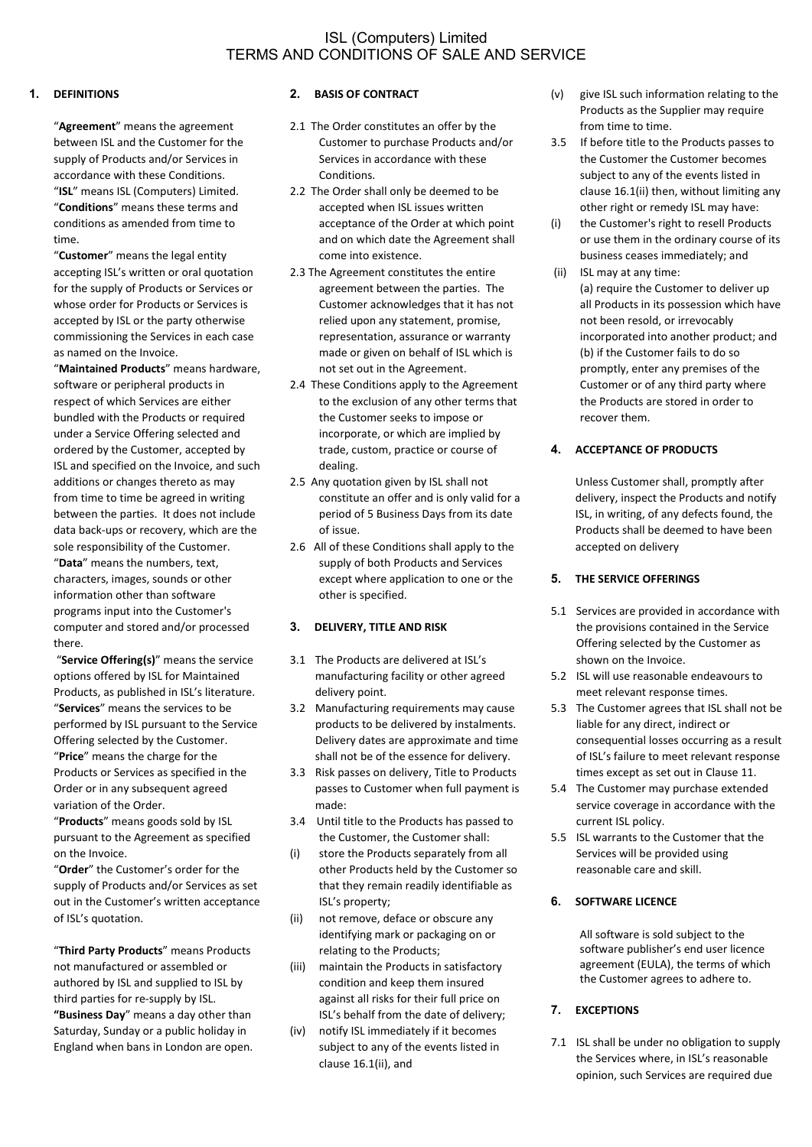# ISL (Computers) Limited TERMS AND CONDITIONS OF SALE AND SERVICE

### **1. DEFINITIONS**

"**Agreement**" means the agreement between ISL and the Customer for the supply of Products and/or Services in accordance with these Conditions. "**ISL**" means ISL (Computers) Limited. "**Conditions**" means these terms and conditions as amended from time to time.

"**Customer**" means the legal entity accepting ISL's written or oral quotation for the supply of Products or Services or whose order for Products or Services is accepted by ISL or the party otherwise commissioning the Services in each case as named on the Invoice.

"**Maintained Products**" means hardware, software or peripheral products in respect of which Services are either bundled with the Products or required under a Service Offering selected and ordered by the Customer, accepted by ISL and specified on the Invoice, and such additions or changes thereto as may from time to time be agreed in writing between the parties. It does not include data back-ups or recovery, which are the sole responsibility of the Customer.

"**Data**" means the numbers, text, characters, images, sounds or other information other than software programs input into the Customer's computer and stored and/or processed there.

"**Service Offering(s)**" means the service options offered by ISL for Maintained Products, as published in ISL's literature. "**Services**" means the services to be performed by ISL pursuant to the Service Offering selected by the Customer. "**Price**" means the charge for the Products or Services as specified in the Order or in any subsequent agreed variation of the Order.

"**Products**" means goods sold by ISL pursuant to the Agreement as specified on the Invoice.

"**Order**" the Customer's order for the supply of Products and/or Services as set out in the Customer's written acceptance of ISL's quotation.

"**Third Party Products**" means Products not manufactured or assembled or authored by ISL and supplied to ISL by third parties for re-supply by ISL. **"Business Day**" means a day other than Saturday, Sunday or a public holiday in England when bans in London are open.

# **2. BASIS OF CONTRACT**

- 2.1 The Order constitutes an offer by the Customer to purchase Products and/or Services in accordance with these **Conditions**
- 2.2 The Order shall only be deemed to be accepted when ISL issues written acceptance of the Order at which point and on which date the Agreement shall come into existence.
- 2.3 The Agreement constitutes the entire agreement between the parties. The Customer acknowledges that it has not relied upon any statement, promise, representation, assurance or warranty made or given on behalf of ISL which is not set out in the Agreement.
- 2.4 These Conditions apply to the Agreement to the exclusion of any other terms that the Customer seeks to impose or incorporate, or which are implied by trade, custom, practice or course of dealing.
- 2.5 Any quotation given by ISL shall not constitute an offer and is only valid for a period of 5 Business Days from its date of issue.
- 2.6 All of these Conditions shall apply to the supply of both Products and Services except where application to one or the other is specified.

# **3. DELIVERY, TITLE AND RISK**

- 3.1 The Products are delivered at ISL's manufacturing facility or other agreed delivery point.
- 3.2 Manufacturing requirements may cause products to be delivered by instalments. Delivery dates are approximate and time shall not be of the essence for delivery.
- 3.3 Risk passes on delivery, Title to Products passes to Customer when full payment is made:
- 3.4 Until title to the Products has passed to the Customer, the Customer shall:
- (i) store the Products separately from all other Products held by the Customer so that they remain readily identifiable as ISL's property;
- (ii) not remove, deface or obscure any identifying mark or packaging on or relating to the Products;
- (iii) maintain the Products in satisfactory condition and keep them insured against all risks for their full price on ISL's behalf from the date of delivery;
- (iv) notify ISL immediately if it becomes subject to any of the events listed in clause 16.1(ii), and
- (v) give ISL such information relating to the Products as the Supplier may require from time to time.
- 3.5 If before title to the Products passes to the Customer the Customer becomes subject to any of the events listed in clause 16.1(ii) then, without limiting any other right or remedy ISL may have:
- (i) the Customer's right to resell Products or use them in the ordinary course of its business ceases immediately; and
- (ii) ISL may at any time: (a) require the Customer to deliver up all Products in its possession which have not been resold, or irrevocably incorporated into another product; and (b) if the Customer fails to do so promptly, enter any premises of the Customer or of any third party where the Products are stored in order to recover them.

# **4. ACCEPTANCE OF PRODUCTS**

Unless Customer shall, promptly after delivery, inspect the Products and notify ISL, in writing, of any defects found, the Products shall be deemed to have been accepted on delivery

### **5. THE SERVICE OFFERINGS**

- 5.1 Services are provided in accordance with the provisions contained in the Service Offering selected by the Customer as shown on the Invoice.
- 5.2 ISL will use reasonable endeavours to meet relevant response times.
- 5.3 The Customer agrees that ISL shall not be liable for any direct, indirect or consequential losses occurring as a result of ISL's failure to meet relevant response times except as set out in Clause 11.
- 5.4 The Customer may purchase extended service coverage in accordance with the current ISL policy.
- 5.5 ISL warrants to the Customer that the Services will be provided using reasonable care and skill.

# **6. SOFTWARE LICENCE**

All software is sold subject to the software publisher's end user licence agreement (EULA), the terms of which the Customer agrees to adhere to.

# **7. EXCEPTIONS**

7.1 ISL shall be under no obligation to supply the Services where, in ISL's reasonable opinion, such Services are required due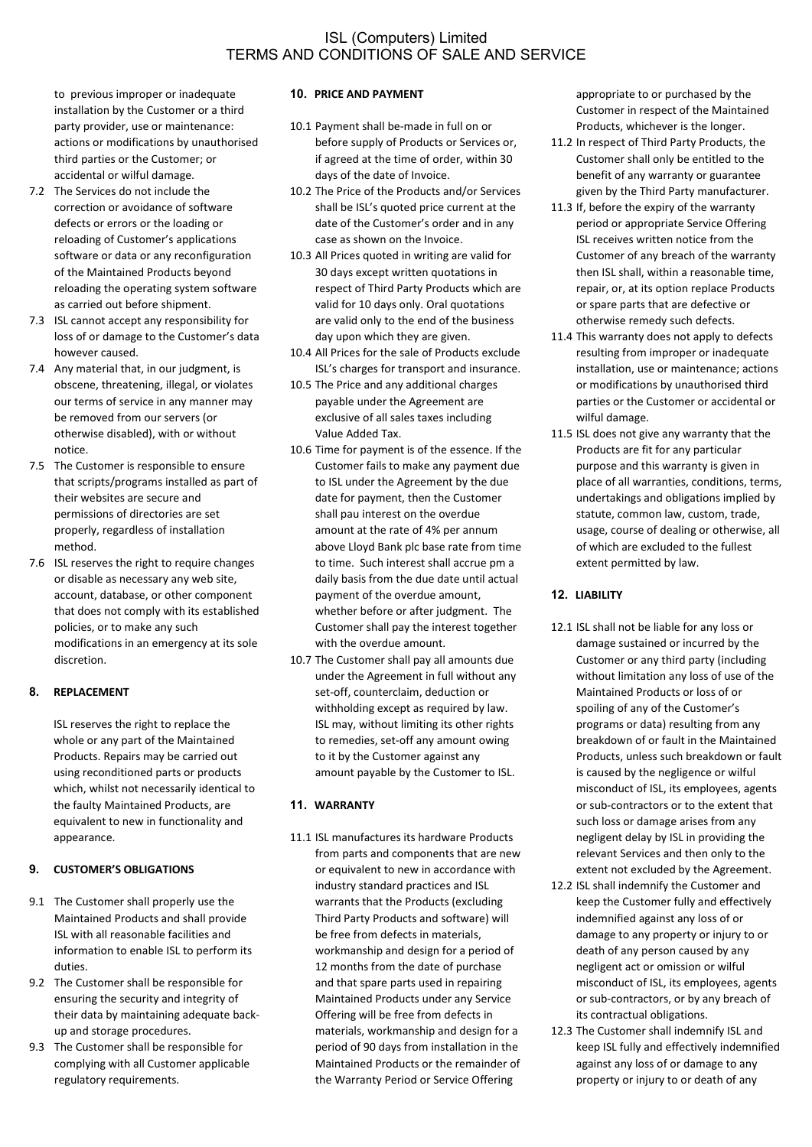to previous improper or inadequate installation by the Customer or a third party provider, use or maintenance: actions or modifications by unauthorised third parties or the Customer; or accidental or wilful damage.

- 7.2 The Services do not include the correction or avoidance of software defects or errors or the loading or reloading of Customer's applications software or data or any reconfiguration of the Maintained Products beyond reloading the operating system software as carried out before shipment.
- 7.3 ISL cannot accept any responsibility for loss of or damage to the Customer's data however caused.
- 7.4 Any material that, in our judgment, is obscene, threatening, illegal, or violates our terms of service in any manner may be removed from our servers (or otherwise disabled), with or without notice.
- 7.5 The Customer is responsible to ensure that scripts/programs installed as part of their websites are secure and permissions of directories are set properly, regardless of installation method.
- 7.6 ISL reserves the right to require changes or disable as necessary any web site, account, database, or other component that does not comply with its established policies, or to make any such modifications in an emergency at its sole discretion.

# **8. REPLACEMENT**

ISL reserves the right to replace the whole or any part of the Maintained Products. Repairs may be carried out using reconditioned parts or products which, whilst not necessarily identical to the faulty Maintained Products, are equivalent to new in functionality and appearance.

### **9. CUSTOMER'S OBLIGATIONS**

- 9.1 The Customer shall properly use the Maintained Products and shall provide ISL with all reasonable facilities and information to enable ISL to perform its duties.
- 9.2 The Customer shall be responsible for ensuring the security and integrity of their data by maintaining adequate backup and storage procedures.
- 9.3 The Customer shall be responsible for complying with all Customer applicable regulatory requirements.

#### **10. PRICE AND PAYMENT**

- 10.1 Payment shall be-made in full on or before supply of Products or Services or, if agreed at the time of order, within 30 days of the date of Invoice.
- 10.2 The Price of the Products and/or Services shall be ISL's quoted price current at the date of the Customer's order and in any case as shown on the Invoice.
- 10.3 All Prices quoted in writing are valid for 30 days except written quotations in respect of Third Party Products which are valid for 10 days only. Oral quotations are valid only to the end of the business day upon which they are given.
- 10.4 All Prices for the sale of Products exclude ISL's charges for transport and insurance.
- 10.5 The Price and any additional charges payable under the Agreement are exclusive of all sales taxes including Value Added Tax.
- 10.6 Time for payment is of the essence. If the Customer fails to make any payment due to ISL under the Agreement by the due date for payment, then the Customer shall pau interest on the overdue amount at the rate of 4% per annum above Lloyd Bank plc base rate from time to time. Such interest shall accrue pm a daily basis from the due date until actual payment of the overdue amount, whether before or after judgment. The Customer shall pay the interest together with the overdue amount.
- 10.7 The Customer shall pay all amounts due under the Agreement in full without any set-off, counterclaim, deduction or withholding except as required by law. ISL may, without limiting its other rights to remedies, set-off any amount owing to it by the Customer against any amount payable by the Customer to ISL.

# **11. WARRANTY**

11.1 ISL manufactures its hardware Products from parts and components that are new or equivalent to new in accordance with industry standard practices and ISL warrants that the Products (excluding Third Party Products and software) will be free from defects in materials, workmanship and design for a period of 12 months from the date of purchase and that spare parts used in repairing Maintained Products under any Service Offering will be free from defects in materials, workmanship and design for a period of 90 days from installation in the Maintained Products or the remainder of the Warranty Period or Service Offering

appropriate to or purchased by the Customer in respect of the Maintained Products, whichever is the longer.

- 11.2 In respect of Third Party Products, the Customer shall only be entitled to the benefit of any warranty or guarantee given by the Third Party manufacturer.
- 11.3 If, before the expiry of the warranty period or appropriate Service Offering ISL receives written notice from the Customer of any breach of the warranty then ISL shall, within a reasonable time, repair, or, at its option replace Products or spare parts that are defective or otherwise remedy such defects.
- 11.4 This warranty does not apply to defects resulting from improper or inadequate installation, use or maintenance; actions or modifications by unauthorised third parties or the Customer or accidental or wilful damage.
- 11.5 ISL does not give any warranty that the Products are fit for any particular purpose and this warranty is given in place of all warranties, conditions, terms, undertakings and obligations implied by statute, common law, custom, trade, usage, course of dealing or otherwise, all of which are excluded to the fullest extent permitted by law.

### **12. LIABILITY**

- 12.1 ISL shall not be liable for any loss or damage sustained or incurred by the Customer or any third party (including without limitation any loss of use of the Maintained Products or loss of or spoiling of any of the Customer's programs or data) resulting from any breakdown of or fault in the Maintained Products, unless such breakdown or fault is caused by the negligence or wilful misconduct of ISL, its employees, agents or sub-contractors or to the extent that such loss or damage arises from any negligent delay by ISL in providing the relevant Services and then only to the extent not excluded by the Agreement.
- 12.2 ISL shall indemnify the Customer and keep the Customer fully and effectively indemnified against any loss of or damage to any property or injury to or death of any person caused by any negligent act or omission or wilful misconduct of ISL, its employees, agents or sub-contractors, or by any breach of its contractual obligations.
- 12.3 The Customer shall indemnify ISL and keep ISL fully and effectively indemnified against any loss of or damage to any property or injury to or death of any